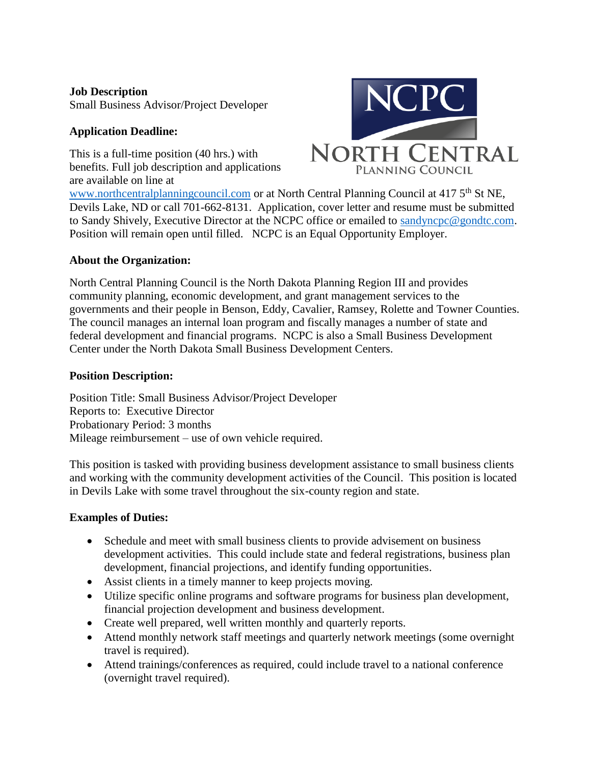# **Job Description**

Small Business Advisor/Project Developer

# **Application Deadline:**

This is a full-time position (40 hrs.) with benefits. Full job description and applications are available on line at



[www.northcentralplanningcouncil.com](http://www.northcentralplanningcouncil.com/) or at North Central Planning Council at 417 5<sup>th</sup> St NE, Devils Lake, ND or call 701-662-8131. Application, cover letter and resume must be submitted to Sandy Shively, Executive Director at the NCPC office or emailed to [sandyncpc@gondtc.com.](mailto:sandyncpc@gondtc.com) Position will remain open until filled. NCPC is an Equal Opportunity Employer.

### **About the Organization:**

North Central Planning Council is the North Dakota Planning Region III and provides community planning, economic development, and grant management services to the governments and their people in Benson, Eddy, Cavalier, Ramsey, Rolette and Towner Counties. The council manages an internal loan program and fiscally manages a number of state and federal development and financial programs. NCPC is also a Small Business Development Center under the North Dakota Small Business Development Centers.

### **Position Description:**

Position Title: Small Business Advisor/Project Developer Reports to: Executive Director Probationary Period: 3 months Mileage reimbursement – use of own vehicle required.

This position is tasked with providing business development assistance to small business clients and working with the community development activities of the Council. This position is located in Devils Lake with some travel throughout the six-county region and state.

### **Examples of Duties:**

- Schedule and meet with small business clients to provide advisement on business development activities. This could include state and federal registrations, business plan development, financial projections, and identify funding opportunities.
- Assist clients in a timely manner to keep projects moving.
- Utilize specific online programs and software programs for business plan development, financial projection development and business development.
- Create well prepared, well written monthly and quarterly reports.
- Attend monthly network staff meetings and quarterly network meetings (some overnight travel is required).
- Attend trainings/conferences as required, could include travel to a national conference (overnight travel required).